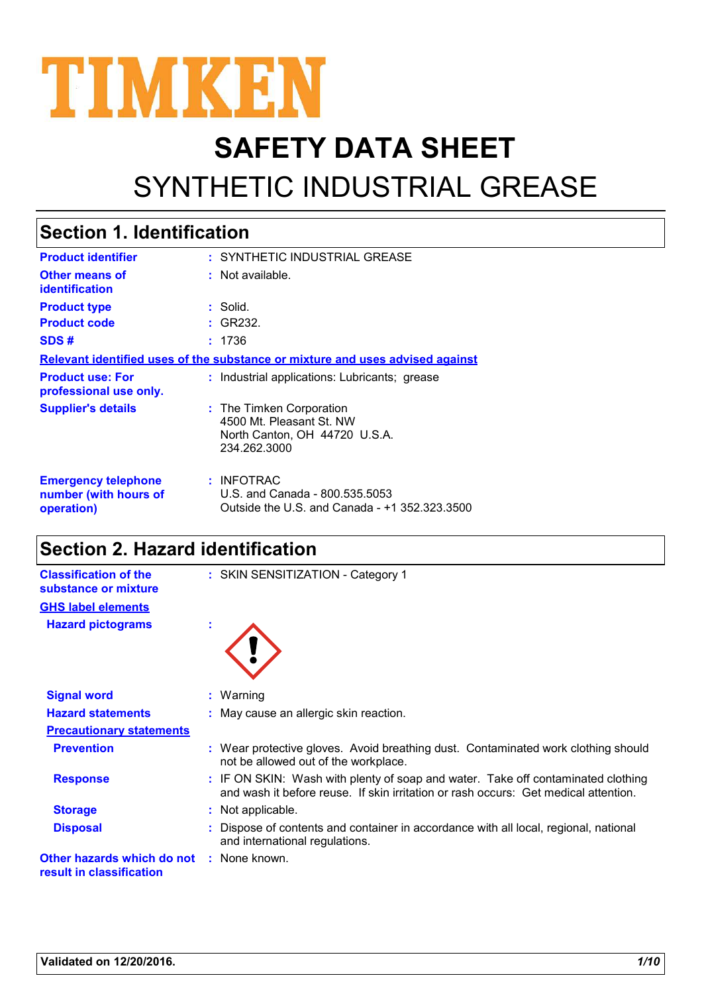

# **SAFETY DATA SHEET** SYNTHETIC INDUSTRIAL GREASE

#### SYNTHETIC INDUSTRIAL GREASE **: :** Not available. **:** Solid. : INFOTRAC U.S. and Canada - 800.535.5053 Outside the U.S. and Canada - +1 352.323.3500 **Product identifier Other means of identification Product type Emergency telephone number (with hours of operation) Section 1. Identification Supplier's details :** The Timken Corporation 4500 Mt. Pleasant St. NW North Canton, OH 44720 U.S.A. 234.262.3000 **Relevant identified uses of the substance or mixture and uses advised against Product code :** GR232. **SDS # :** 1736 **Product use: For professional use only. :** Industrial applications: Lubricants; grease

#### **Section 2. Hazard identification**

| <b>Classification of the</b><br>substance or mixture | : SKIN SENSITIZATION - Category 1                                                                                                                                       |
|------------------------------------------------------|-------------------------------------------------------------------------------------------------------------------------------------------------------------------------|
| <b>GHS label elements</b>                            |                                                                                                                                                                         |
| <b>Hazard pictograms</b>                             |                                                                                                                                                                         |
|                                                      |                                                                                                                                                                         |
| <b>Signal word</b>                                   | : Warning                                                                                                                                                               |
| <b>Hazard statements</b>                             | : May cause an allergic skin reaction.                                                                                                                                  |
| <b>Precautionary statements</b>                      |                                                                                                                                                                         |
| <b>Prevention</b>                                    | : Wear protective gloves. Avoid breathing dust. Contaminated work clothing should<br>not be allowed out of the workplace.                                               |
| <b>Response</b>                                      | : IF ON SKIN: Wash with plenty of soap and water. Take off contaminated clothing<br>and wash it before reuse. If skin irritation or rash occurs: Get medical attention. |
| <b>Storage</b>                                       | : Not applicable.                                                                                                                                                       |
| <b>Disposal</b>                                      | : Dispose of contents and container in accordance with all local, regional, national<br>and international regulations.                                                  |
|                                                      |                                                                                                                                                                         |

**Other hazards which do not :** None known. **result in classification**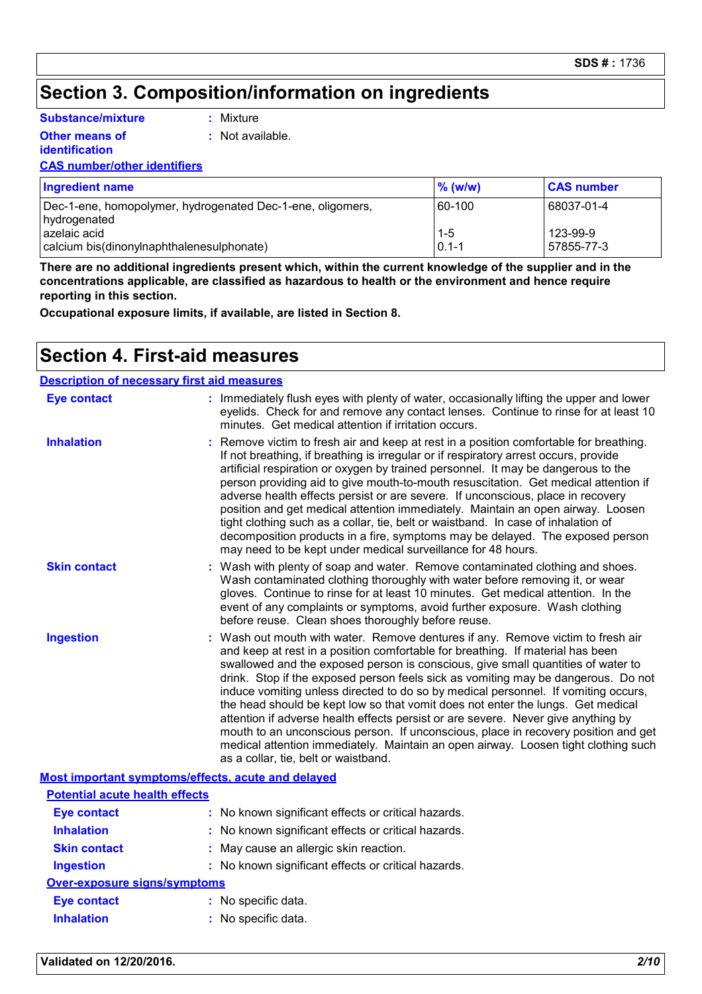#### **Section 3. Composition/information on ingredients**

**Substance/mixture**

**Other means of** 

**:** Mixture

**:** Not available.

**identification**

#### **CAS number/other identifiers**

| Ingredient name                                            | $\%$ (w/w) | <b>CAS number</b> |
|------------------------------------------------------------|------------|-------------------|
| Dec-1-ene, homopolymer, hydrogenated Dec-1-ene, oligomers, | 60-100     | 68037-01-4        |
| hydrogenated<br>l azelaic acid                             | $1-5$      | 123-99-9          |
| calcium bis(dinonylnaphthalenesulphonate)                  | $0.1 - 1$  | 57855-77-3        |

**There are no additional ingredients present which, within the current knowledge of the supplier and in the concentrations applicable, are classified as hazardous to health or the environment and hence require reporting in this section.**

**Occupational exposure limits, if available, are listed in Section 8.**

#### **Section 4. First-aid measures**

| <b>Description of necessary first aid measures</b> |                                                                                                                                                                                                                                                                                                                                                                                                                                                                                                                                                                                                                                                                                                                                                                                                                              |
|----------------------------------------------------|------------------------------------------------------------------------------------------------------------------------------------------------------------------------------------------------------------------------------------------------------------------------------------------------------------------------------------------------------------------------------------------------------------------------------------------------------------------------------------------------------------------------------------------------------------------------------------------------------------------------------------------------------------------------------------------------------------------------------------------------------------------------------------------------------------------------------|
| <b>Eye contact</b>                                 | : Immediately flush eyes with plenty of water, occasionally lifting the upper and lower<br>eyelids. Check for and remove any contact lenses. Continue to rinse for at least 10<br>minutes. Get medical attention if irritation occurs.                                                                                                                                                                                                                                                                                                                                                                                                                                                                                                                                                                                       |
| <b>Inhalation</b>                                  | Remove victim to fresh air and keep at rest in a position comfortable for breathing.<br>If not breathing, if breathing is irregular or if respiratory arrest occurs, provide<br>artificial respiration or oxygen by trained personnel. It may be dangerous to the<br>person providing aid to give mouth-to-mouth resuscitation. Get medical attention if<br>adverse health effects persist or are severe. If unconscious, place in recovery<br>position and get medical attention immediately. Maintain an open airway. Loosen<br>tight clothing such as a collar, tie, belt or waistband. In case of inhalation of<br>decomposition products in a fire, symptoms may be delayed. The exposed person<br>may need to be kept under medical surveillance for 48 hours.                                                         |
| <b>Skin contact</b>                                | : Wash with plenty of soap and water. Remove contaminated clothing and shoes.<br>Wash contaminated clothing thoroughly with water before removing it, or wear<br>gloves. Continue to rinse for at least 10 minutes. Get medical attention. In the<br>event of any complaints or symptoms, avoid further exposure. Wash clothing<br>before reuse. Clean shoes thoroughly before reuse.                                                                                                                                                                                                                                                                                                                                                                                                                                        |
| <b>Ingestion</b>                                   | : Wash out mouth with water. Remove dentures if any. Remove victim to fresh air<br>and keep at rest in a position comfortable for breathing. If material has been<br>swallowed and the exposed person is conscious, give small quantities of water to<br>drink. Stop if the exposed person feels sick as vomiting may be dangerous. Do not<br>induce vomiting unless directed to do so by medical personnel. If vomiting occurs,<br>the head should be kept low so that vomit does not enter the lungs. Get medical<br>attention if adverse health effects persist or are severe. Never give anything by<br>mouth to an unconscious person. If unconscious, place in recovery position and get<br>medical attention immediately. Maintain an open airway. Loosen tight clothing such<br>as a collar, tie, belt or waistband. |
|                                                    | <b>Most important symptoms/effects, acute and delayed</b>                                                                                                                                                                                                                                                                                                                                                                                                                                                                                                                                                                                                                                                                                                                                                                    |

|                                       | <u>MOOL MINOI LUML OYMIDIOMINOI LOOLO, UUULO UMU UULUYUU</u> |
|---------------------------------------|--------------------------------------------------------------|
| <b>Potential acute health effects</b> |                                                              |
| <b>Eye contact</b>                    | : No known significant effects or critical hazards.          |
| <b>Inhalation</b>                     | : No known significant effects or critical hazards.          |
| <b>Skin contact</b>                   | : May cause an allergic skin reaction.                       |
| <b>Ingestion</b>                      | : No known significant effects or critical hazards.          |
| <b>Over-exposure signs/symptoms</b>   |                                                              |
| <b>Eye contact</b>                    | : No specific data.                                          |
| <b>Inhalation</b>                     | : No specific data.                                          |

#### **Validated on 12/20/2016.** *2/10*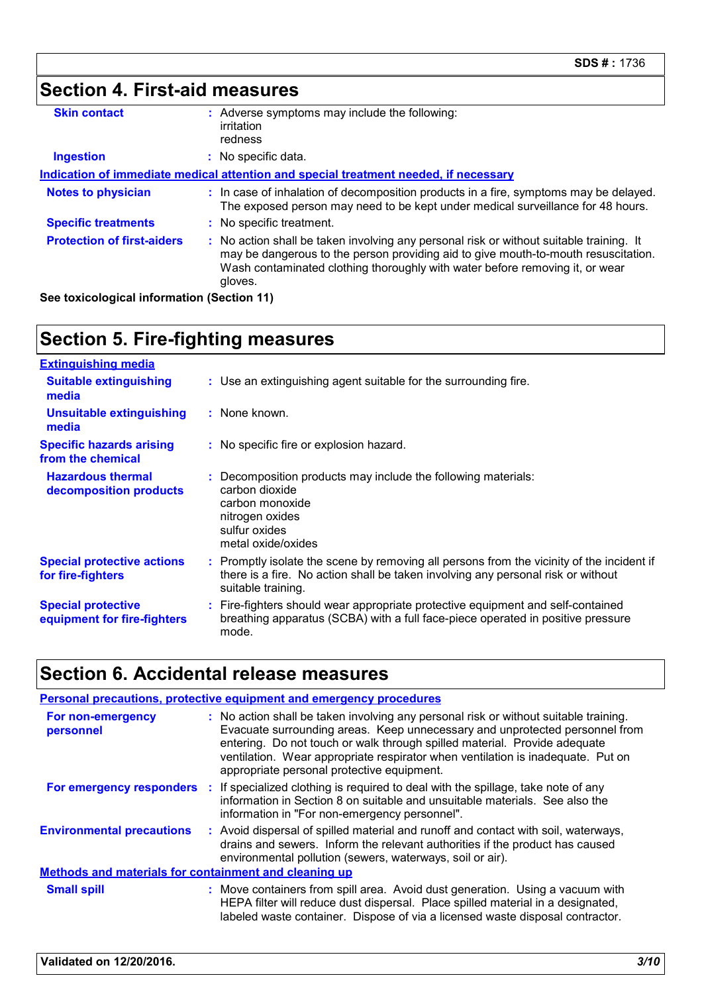| Section 4. First-aid measures     |                                                                                                                                                                                                                                                                          |
|-----------------------------------|--------------------------------------------------------------------------------------------------------------------------------------------------------------------------------------------------------------------------------------------------------------------------|
| <b>Skin contact</b>               | : Adverse symptoms may include the following:<br>irritation<br>redness                                                                                                                                                                                                   |
| <b>Ingestion</b>                  | : No specific data.                                                                                                                                                                                                                                                      |
|                                   | Indication of immediate medical attention and special treatment needed, if necessary                                                                                                                                                                                     |
| <b>Notes to physician</b>         | : In case of inhalation of decomposition products in a fire, symptoms may be delayed.<br>The exposed person may need to be kept under medical surveillance for 48 hours.                                                                                                 |
| <b>Specific treatments</b>        | : No specific treatment.                                                                                                                                                                                                                                                 |
| <b>Protection of first-aiders</b> | : No action shall be taken involving any personal risk or without suitable training. It<br>may be dangerous to the person providing aid to give mouth-to-mouth resuscitation.<br>Wash contaminated clothing thoroughly with water before removing it, or wear<br>gloves. |

**See toxicological information (Section 11)**

# **Section 5. Fire-fighting measures**

| <b>Extinguishing media</b>                               |                                                                                                                                                                                                     |
|----------------------------------------------------------|-----------------------------------------------------------------------------------------------------------------------------------------------------------------------------------------------------|
| <b>Suitable extinguishing</b><br>media                   | : Use an extinguishing agent suitable for the surrounding fire.                                                                                                                                     |
| <b>Unsuitable extinguishing</b><br>media                 | : None known.                                                                                                                                                                                       |
| <b>Specific hazards arising</b><br>from the chemical     | : No specific fire or explosion hazard.                                                                                                                                                             |
| <b>Hazardous thermal</b><br>decomposition products       | : Decomposition products may include the following materials:<br>carbon dioxide<br>carbon monoxide<br>nitrogen oxides<br>sulfur oxides<br>metal oxide/oxides                                        |
| <b>Special protective actions</b><br>for fire-fighters   | : Promptly isolate the scene by removing all persons from the vicinity of the incident if<br>there is a fire. No action shall be taken involving any personal risk or without<br>suitable training. |
| <b>Special protective</b><br>equipment for fire-fighters | : Fire-fighters should wear appropriate protective equipment and self-contained<br>breathing apparatus (SCBA) with a full face-piece operated in positive pressure<br>mode.                         |

# **Section 6. Accidental release measures**

| <b>Personal precautions, protective equipment and emergency procedures</b> |                                                                                                                                                                                                                                                                                                                                                                                   |  |
|----------------------------------------------------------------------------|-----------------------------------------------------------------------------------------------------------------------------------------------------------------------------------------------------------------------------------------------------------------------------------------------------------------------------------------------------------------------------------|--|
| For non-emergency<br>personnel                                             | : No action shall be taken involving any personal risk or without suitable training.<br>Evacuate surrounding areas. Keep unnecessary and unprotected personnel from<br>entering. Do not touch or walk through spilled material. Provide adequate<br>ventilation. Wear appropriate respirator when ventilation is inadequate. Put on<br>appropriate personal protective equipment. |  |
|                                                                            | For emergency responders : If specialized clothing is required to deal with the spillage, take note of any<br>information in Section 8 on suitable and unsuitable materials. See also the<br>information in "For non-emergency personnel".                                                                                                                                        |  |
| <b>Environmental precautions</b>                                           | : Avoid dispersal of spilled material and runoff and contact with soil, waterways,<br>drains and sewers. Inform the relevant authorities if the product has caused<br>environmental pollution (sewers, waterways, soil or air).                                                                                                                                                   |  |
| <b>Methods and materials for containment and cleaning up</b>               |                                                                                                                                                                                                                                                                                                                                                                                   |  |
| <b>Small spill</b>                                                         | : Move containers from spill area. Avoid dust generation. Using a vacuum with<br>HEPA filter will reduce dust dispersal. Place spilled material in a designated,<br>labeled waste container. Dispose of via a licensed waste disposal contractor.                                                                                                                                 |  |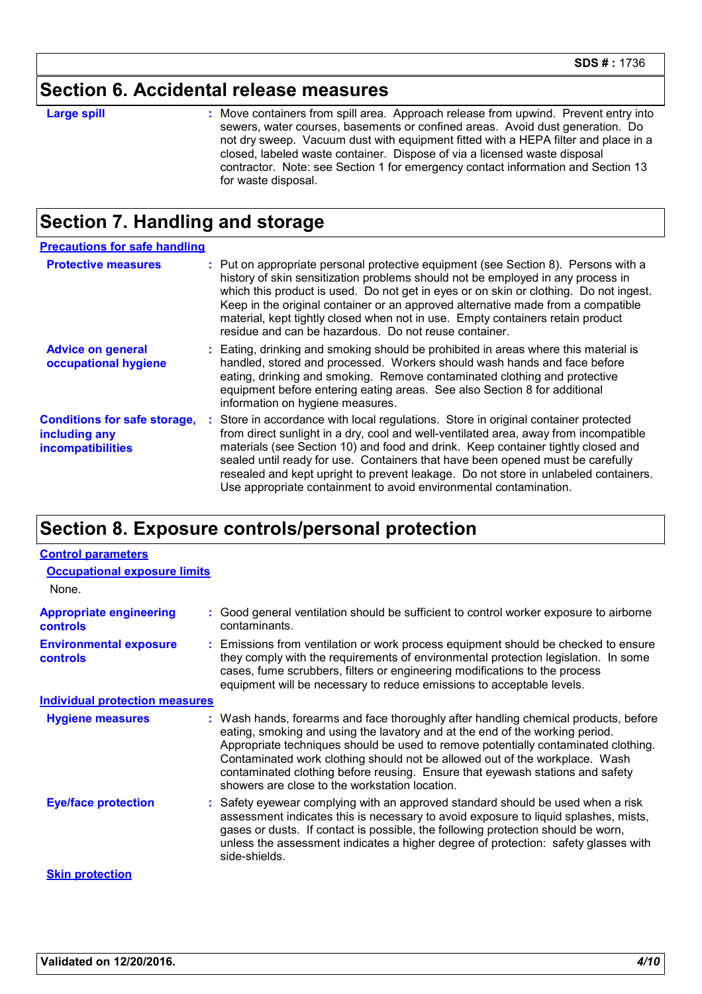#### **Section 6. Accidental release measures**

**Large spill :**

: Move containers from spill area. Approach release from upwind. Prevent entry into sewers, water courses, basements or confined areas. Avoid dust generation. Do not dry sweep. Vacuum dust with equipment fitted with a HEPA filter and place in a closed, labeled waste container. Dispose of via a licensed waste disposal contractor. Note: see Section 1 for emergency contact information and Section 13 for waste disposal.

#### **Section 7. Handling and storage**

| <b>Precautions for safe handling</b>                                             |                                                                                                                                                                                                                                                                                                                                                                                                                                                                                                               |
|----------------------------------------------------------------------------------|---------------------------------------------------------------------------------------------------------------------------------------------------------------------------------------------------------------------------------------------------------------------------------------------------------------------------------------------------------------------------------------------------------------------------------------------------------------------------------------------------------------|
| <b>Protective measures</b>                                                       | : Put on appropriate personal protective equipment (see Section 8). Persons with a<br>history of skin sensitization problems should not be employed in any process in<br>which this product is used. Do not get in eyes or on skin or clothing. Do not ingest.<br>Keep in the original container or an approved alternative made from a compatible<br>material, kept tightly closed when not in use. Empty containers retain product<br>residue and can be hazardous. Do not reuse container.                 |
| <b>Advice on general</b><br>occupational hygiene                                 | : Eating, drinking and smoking should be prohibited in areas where this material is<br>handled, stored and processed. Workers should wash hands and face before<br>eating, drinking and smoking. Remove contaminated clothing and protective<br>equipment before entering eating areas. See also Section 8 for additional<br>information on hygiene measures.                                                                                                                                                 |
| <b>Conditions for safe storage,</b><br>including any<br><i>incompatibilities</i> | : Store in accordance with local regulations. Store in original container protected<br>from direct sunlight in a dry, cool and well-ventilated area, away from incompatible<br>materials (see Section 10) and food and drink. Keep container tightly closed and<br>sealed until ready for use. Containers that have been opened must be carefully<br>resealed and kept upright to prevent leakage. Do not store in unlabeled containers.<br>Use appropriate containment to avoid environmental contamination. |

#### **Section 8. Exposure controls/personal protection**

| <b>Control parameters</b>                         |                                                                                                                                                                                                                                                                                                                                                                                                                                                                             |  |  |
|---------------------------------------------------|-----------------------------------------------------------------------------------------------------------------------------------------------------------------------------------------------------------------------------------------------------------------------------------------------------------------------------------------------------------------------------------------------------------------------------------------------------------------------------|--|--|
| <b>Occupational exposure limits</b>               |                                                                                                                                                                                                                                                                                                                                                                                                                                                                             |  |  |
| None.                                             |                                                                                                                                                                                                                                                                                                                                                                                                                                                                             |  |  |
| <b>Appropriate engineering</b><br><b>controls</b> | : Good general ventilation should be sufficient to control worker exposure to airborne<br>contaminants.                                                                                                                                                                                                                                                                                                                                                                     |  |  |
| <b>Environmental exposure</b><br><b>controls</b>  | : Emissions from ventilation or work process equipment should be checked to ensure<br>they comply with the requirements of environmental protection legislation. In some<br>cases, fume scrubbers, filters or engineering modifications to the process<br>equipment will be necessary to reduce emissions to acceptable levels.                                                                                                                                             |  |  |
| <b>Individual protection measures</b>             |                                                                                                                                                                                                                                                                                                                                                                                                                                                                             |  |  |
| <b>Hygiene measures</b>                           | : Wash hands, forearms and face thoroughly after handling chemical products, before<br>eating, smoking and using the lavatory and at the end of the working period.<br>Appropriate techniques should be used to remove potentially contaminated clothing.<br>Contaminated work clothing should not be allowed out of the workplace. Wash<br>contaminated clothing before reusing. Ensure that eyewash stations and safety<br>showers are close to the workstation location. |  |  |
| <b>Eye/face protection</b>                        | : Safety eyewear complying with an approved standard should be used when a risk<br>assessment indicates this is necessary to avoid exposure to liquid splashes, mists,<br>gases or dusts. If contact is possible, the following protection should be worn,<br>unless the assessment indicates a higher degree of protection: safety glasses with<br>side-shields.                                                                                                           |  |  |
| <b>Skin protection</b>                            |                                                                                                                                                                                                                                                                                                                                                                                                                                                                             |  |  |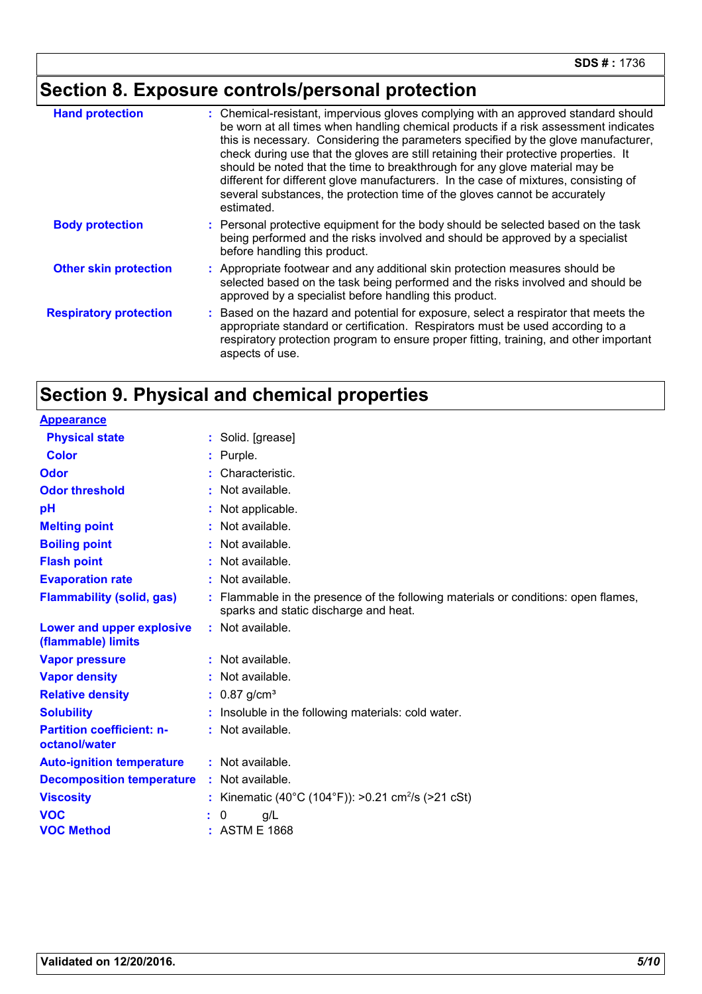# **Section 8. Exposure controls/personal protection**

| <b>Hand protection</b>        | : Chemical-resistant, impervious gloves complying with an approved standard should<br>be worn at all times when handling chemical products if a risk assessment indicates<br>this is necessary. Considering the parameters specified by the glove manufacturer,<br>check during use that the gloves are still retaining their protective properties. It<br>should be noted that the time to breakthrough for any glove material may be<br>different for different glove manufacturers. In the case of mixtures, consisting of<br>several substances, the protection time of the gloves cannot be accurately<br>estimated. |
|-------------------------------|---------------------------------------------------------------------------------------------------------------------------------------------------------------------------------------------------------------------------------------------------------------------------------------------------------------------------------------------------------------------------------------------------------------------------------------------------------------------------------------------------------------------------------------------------------------------------------------------------------------------------|
| <b>Body protection</b>        | : Personal protective equipment for the body should be selected based on the task<br>being performed and the risks involved and should be approved by a specialist<br>before handling this product.                                                                                                                                                                                                                                                                                                                                                                                                                       |
| <b>Other skin protection</b>  | : Appropriate footwear and any additional skin protection measures should be<br>selected based on the task being performed and the risks involved and should be<br>approved by a specialist before handling this product.                                                                                                                                                                                                                                                                                                                                                                                                 |
| <b>Respiratory protection</b> | Based on the hazard and potential for exposure, select a respirator that meets the<br>appropriate standard or certification. Respirators must be used according to a<br>respiratory protection program to ensure proper fitting, training, and other important<br>aspects of use.                                                                                                                                                                                                                                                                                                                                         |

## **Section 9. Physical and chemical properties**

| <b>Appearance</b>                                 |                                                                                                                             |
|---------------------------------------------------|-----------------------------------------------------------------------------------------------------------------------------|
| <b>Physical state</b>                             | : Solid. [grease]                                                                                                           |
| <b>Color</b>                                      | Purple.                                                                                                                     |
| Odor                                              | Characteristic.                                                                                                             |
| <b>Odor threshold</b>                             | : Not available.                                                                                                            |
| рH                                                | Not applicable.                                                                                                             |
| <b>Melting point</b>                              | Not available.                                                                                                              |
| <b>Boiling point</b>                              | Not available.                                                                                                              |
| <b>Flash point</b>                                | : Not available.                                                                                                            |
| <b>Evaporation rate</b>                           | : Not available.                                                                                                            |
| <b>Flammability (solid, gas)</b>                  | : Flammable in the presence of the following materials or conditions: open flames,<br>sparks and static discharge and heat. |
| Lower and upper explosive<br>(flammable) limits   | : Not available.                                                                                                            |
| <b>Vapor pressure</b>                             | $:$ Not available.                                                                                                          |
| <b>Vapor density</b>                              | Not available.                                                                                                              |
| <b>Relative density</b>                           | : $0.87$ g/cm <sup>3</sup>                                                                                                  |
| <b>Solubility</b>                                 | Insoluble in the following materials: cold water.                                                                           |
| <b>Partition coefficient: n-</b><br>octanol/water | : Not available.                                                                                                            |
| <b>Auto-ignition temperature</b>                  | : Not available.                                                                                                            |
| <b>Decomposition temperature</b>                  | : Not available.                                                                                                            |
| <b>Viscosity</b>                                  | : Kinematic (40°C (104°F)): >0.21 cm <sup>2</sup> /s (>21 cSt)                                                              |
| <b>VOC</b>                                        | 0<br>g/L                                                                                                                    |
| <b>VOC Method</b>                                 | : ASTM E 1868                                                                                                               |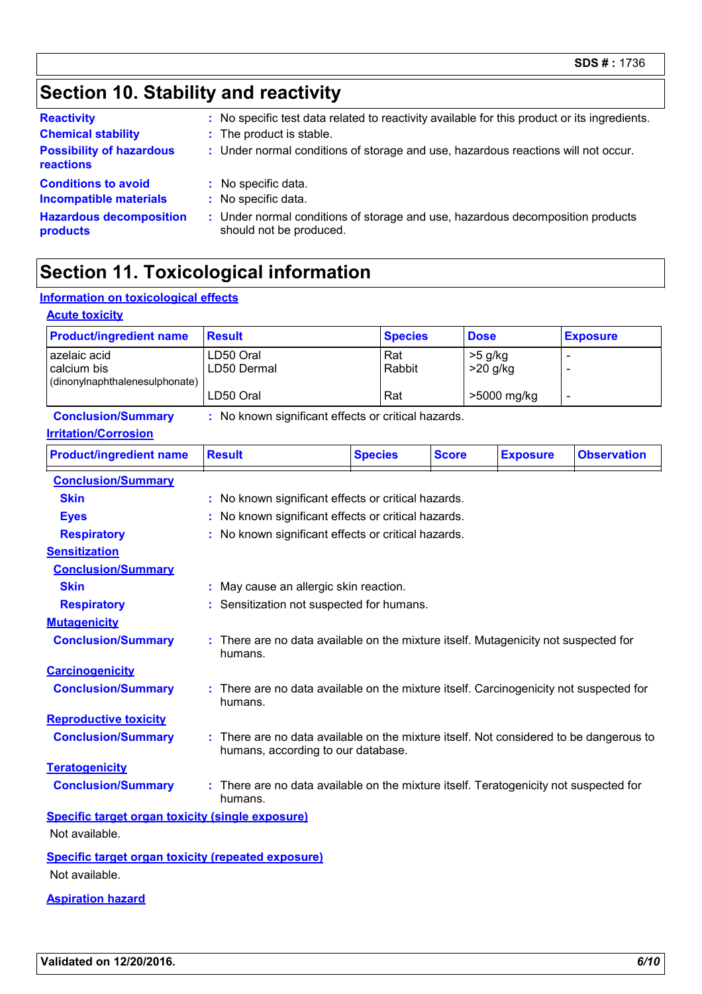## **Section 10. Stability and reactivity**

| <b>Reactivity</b>               | : No specific test data related to reactivity available for this product or its ingredients. |
|---------------------------------|----------------------------------------------------------------------------------------------|
| <b>Chemical stability</b>       | : The product is stable.                                                                     |
| <b>Possibility of hazardous</b> | : Under normal conditions of storage and use, hazardous reactions will not occur.            |
| reactions                       |                                                                                              |
| <b>Conditions to avoid</b>      | : No specific data.                                                                          |
| <b>Incompatible materials</b>   | : No specific data.                                                                          |
| <b>Hazardous decomposition</b>  | : Under normal conditions of storage and use, hazardous decomposition products               |
| products                        | should not be produced.                                                                      |

## **Section 11. Toxicological information**

#### **Information on toxicological effects**

| <b>Acute toxicity</b><br><b>Product/ingredient name</b> | <b>Result</b>                                                                                                                | <b>Species</b> |              |                         |                 |                    |
|---------------------------------------------------------|------------------------------------------------------------------------------------------------------------------------------|----------------|--------------|-------------------------|-----------------|--------------------|
|                                                         |                                                                                                                              |                | <b>Dose</b>  |                         |                 | <b>Exposure</b>    |
| azelaic acid<br>calcium bis                             | LD50 Oral<br>LD50 Dermal                                                                                                     | Rat<br>Rabbit  |              | $>5$ g/kg<br>$>20$ g/kg |                 | Ē,                 |
| (dinonylnaphthalenesulphonate)                          |                                                                                                                              |                |              |                         |                 |                    |
|                                                         | LD50 Oral                                                                                                                    | Rat            |              |                         | >5000 mg/kg     | $\blacksquare$     |
| <b>Conclusion/Summary</b>                               | : No known significant effects or critical hazards.                                                                          |                |              |                         |                 |                    |
| <b>Irritation/Corrosion</b>                             |                                                                                                                              |                |              |                         |                 |                    |
| <b>Product/ingredient name</b>                          | <b>Result</b>                                                                                                                | <b>Species</b> | <b>Score</b> |                         | <b>Exposure</b> | <b>Observation</b> |
| <b>Conclusion/Summary</b>                               |                                                                                                                              |                |              |                         |                 |                    |
| <b>Skin</b>                                             | : No known significant effects or critical hazards.                                                                          |                |              |                         |                 |                    |
| <b>Eyes</b>                                             | : No known significant effects or critical hazards.                                                                          |                |              |                         |                 |                    |
| <b>Respiratory</b>                                      | : No known significant effects or critical hazards.                                                                          |                |              |                         |                 |                    |
| <b>Sensitization</b>                                    |                                                                                                                              |                |              |                         |                 |                    |
| <b>Conclusion/Summary</b>                               |                                                                                                                              |                |              |                         |                 |                    |
| <b>Skin</b>                                             | : May cause an allergic skin reaction.                                                                                       |                |              |                         |                 |                    |
| <b>Respiratory</b>                                      | : Sensitization not suspected for humans.                                                                                    |                |              |                         |                 |                    |
| <b>Mutagenicity</b>                                     |                                                                                                                              |                |              |                         |                 |                    |
| <b>Conclusion/Summary</b>                               | : There are no data available on the mixture itself. Mutagenicity not suspected for<br>humans.                               |                |              |                         |                 |                    |
| <b>Carcinogenicity</b>                                  |                                                                                                                              |                |              |                         |                 |                    |
| <b>Conclusion/Summary</b>                               | : There are no data available on the mixture itself. Carcinogenicity not suspected for<br>humans.                            |                |              |                         |                 |                    |
| <b>Reproductive toxicity</b>                            |                                                                                                                              |                |              |                         |                 |                    |
| <b>Conclusion/Summary</b>                               | : There are no data available on the mixture itself. Not considered to be dangerous to<br>humans, according to our database. |                |              |                         |                 |                    |
| <b>Teratogenicity</b>                                   |                                                                                                                              |                |              |                         |                 |                    |
| <b>Conclusion/Summary</b>                               | : There are no data available on the mixture itself. Teratogenicity not suspected for<br>humans.                             |                |              |                         |                 |                    |
| <b>Specific target organ toxicity (single exposure)</b> |                                                                                                                              |                |              |                         |                 |                    |
| Not available.                                          |                                                                                                                              |                |              |                         |                 |                    |
|                                                         |                                                                                                                              |                |              |                         |                 |                    |

**Specific target organ toxicity (repeated exposure)** Not available.

**Aspiration hazard**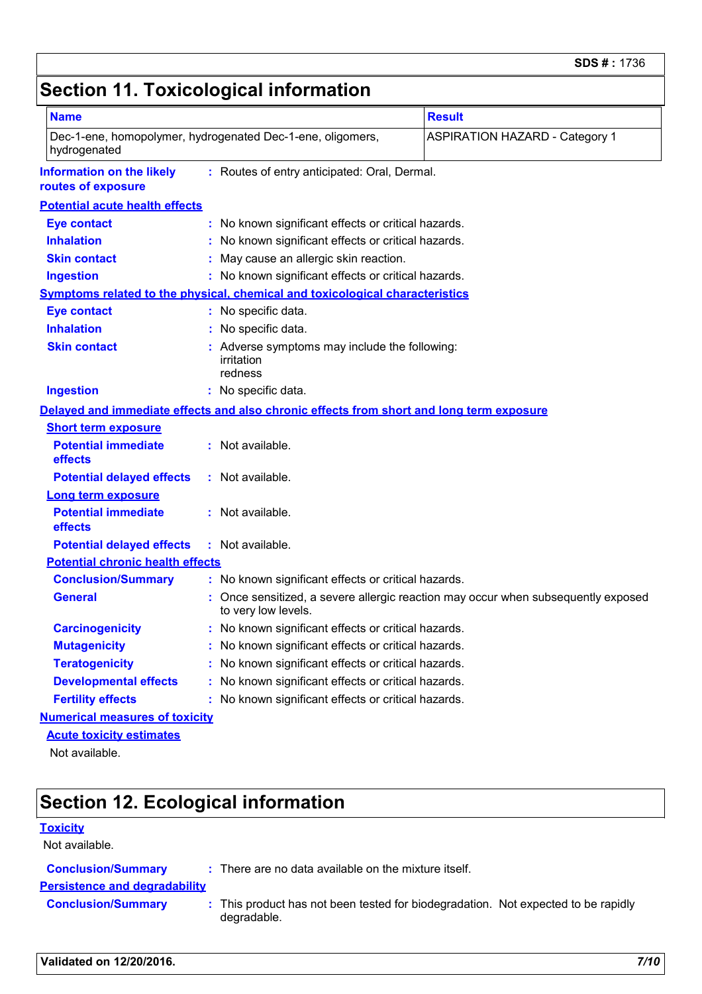## **Section 11. Toxicological information**

| <b>Name</b>                                                                                            |                                                                                          | <b>Result</b>                                                                   |  |  |
|--------------------------------------------------------------------------------------------------------|------------------------------------------------------------------------------------------|---------------------------------------------------------------------------------|--|--|
|                                                                                                        |                                                                                          |                                                                                 |  |  |
| Dec-1-ene, homopolymer, hydrogenated Dec-1-ene, oligomers,<br>hydrogenated                             | <b>ASPIRATION HAZARD - Category 1</b>                                                    |                                                                                 |  |  |
| <b>Information on the likely</b><br>: Routes of entry anticipated: Oral, Dermal.<br>routes of exposure |                                                                                          |                                                                                 |  |  |
| <b>Potential acute health effects</b>                                                                  |                                                                                          |                                                                                 |  |  |
| <b>Eye contact</b>                                                                                     | : No known significant effects or critical hazards.                                      |                                                                                 |  |  |
| <b>Inhalation</b>                                                                                      |                                                                                          | No known significant effects or critical hazards.                               |  |  |
| <b>Skin contact</b>                                                                                    |                                                                                          | May cause an allergic skin reaction.                                            |  |  |
| <b>Ingestion</b>                                                                                       |                                                                                          | : No known significant effects or critical hazards.                             |  |  |
|                                                                                                        | <b>Symptoms related to the physical, chemical and toxicological characteristics</b>      |                                                                                 |  |  |
| <b>Eye contact</b>                                                                                     | : No specific data.                                                                      |                                                                                 |  |  |
| <b>Inhalation</b>                                                                                      | : No specific data.                                                                      |                                                                                 |  |  |
| <b>Skin contact</b>                                                                                    | Adverse symptoms may include the following:<br>irritation<br>redness                     |                                                                                 |  |  |
| <b>Ingestion</b>                                                                                       | : No specific data.                                                                      |                                                                                 |  |  |
|                                                                                                        | Delayed and immediate effects and also chronic effects from short and long term exposure |                                                                                 |  |  |
| <b>Short term exposure</b>                                                                             |                                                                                          |                                                                                 |  |  |
| <b>Potential immediate</b><br>effects                                                                  | : Not available.                                                                         |                                                                                 |  |  |
| <b>Potential delayed effects</b>                                                                       | : Not available.                                                                         |                                                                                 |  |  |
| <b>Long term exposure</b>                                                                              |                                                                                          |                                                                                 |  |  |
| <b>Potential immediate</b><br>effects                                                                  | : Not available.                                                                         |                                                                                 |  |  |
| <b>Potential delayed effects</b>                                                                       | : Not available.                                                                         |                                                                                 |  |  |
| <b>Potential chronic health effects</b>                                                                |                                                                                          |                                                                                 |  |  |
| <b>Conclusion/Summary</b>                                                                              | : No known significant effects or critical hazards.                                      |                                                                                 |  |  |
| <b>General</b>                                                                                         | to very low levels.                                                                      | Once sensitized, a severe allergic reaction may occur when subsequently exposed |  |  |
| <b>Carcinogenicity</b>                                                                                 | : No known significant effects or critical hazards.                                      |                                                                                 |  |  |
| <b>Mutagenicity</b>                                                                                    |                                                                                          | : No known significant effects or critical hazards.                             |  |  |
| <b>Teratogenicity</b>                                                                                  | : No known significant effects or critical hazards.                                      |                                                                                 |  |  |
| <b>Developmental effects</b>                                                                           | : No known significant effects or critical hazards.                                      |                                                                                 |  |  |
| <b>Fertility effects</b>                                                                               | : No known significant effects or critical hazards.                                      |                                                                                 |  |  |
| <b>Numerical measures of toxicity</b>                                                                  |                                                                                          |                                                                                 |  |  |
| <b>Acute toxicity estimates</b>                                                                        |                                                                                          |                                                                                 |  |  |
| Not available.                                                                                         |                                                                                          |                                                                                 |  |  |

# **Section 12. Ecological information**

#### **Toxicity**

| Not available.                       |                                                                                                  |  |
|--------------------------------------|--------------------------------------------------------------------------------------------------|--|
| <b>Conclusion/Summary</b>            | : There are no data available on the mixture itself.                                             |  |
| <b>Persistence and degradability</b> |                                                                                                  |  |
| <b>Conclusion/Summary</b>            | : This product has not been tested for biodegradation. Not expected to be rapidly<br>degradable. |  |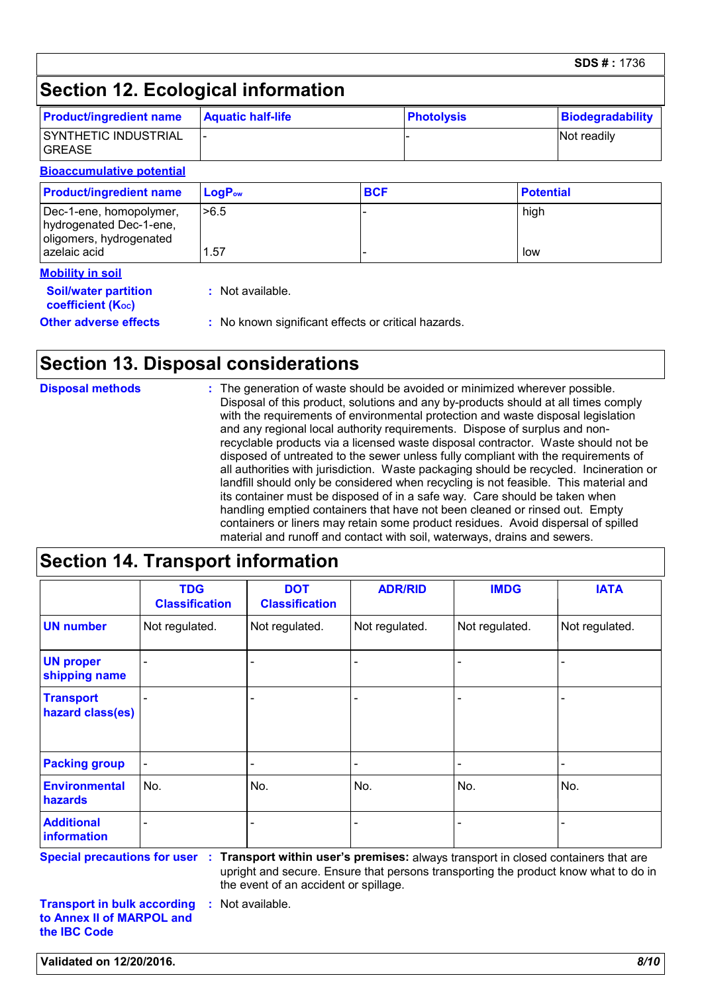## **Section 12. Ecological information**

| <b>Product/ingredient name</b>                                                | <b>Aquatic half-life</b> |            | <b>Photolysis</b> |                  | <b>Biodegradability</b> |
|-------------------------------------------------------------------------------|--------------------------|------------|-------------------|------------------|-------------------------|
| SYNTHETIC INDUSTRIAL<br><b>GREASE</b>                                         |                          |            |                   |                  | Not readily             |
| <b>Bioaccumulative potential</b>                                              |                          |            |                   |                  |                         |
| <b>Product/ingredient name</b>                                                | LogP <sub>ow</sub>       | <b>BCF</b> |                   | <b>Potential</b> |                         |
| Dec-1-ene, homopolymer,<br>hydrogenated Dec-1-ene,<br>oligomers, hydrogenated | >6.5                     |            |                   | high             |                         |
| azelaic acid                                                                  | 1.57                     |            |                   | low              |                         |

| <b>Soil/water partition</b>    | : Not available.                                    |
|--------------------------------|-----------------------------------------------------|
| coefficient (K <sub>oc</sub> ) |                                                     |
| <b>Other adverse effects</b>   | : No known significant effects or critical hazards. |

#### **Section 13. Disposal considerations**

| <b>Disposal methods</b> | : The generation of waste should be avoided or minimized wherever possible.<br>Disposal of this product, solutions and any by-products should at all times comply<br>with the requirements of environmental protection and waste disposal legislation<br>and any regional local authority requirements. Dispose of surplus and non-                       |
|-------------------------|-----------------------------------------------------------------------------------------------------------------------------------------------------------------------------------------------------------------------------------------------------------------------------------------------------------------------------------------------------------|
|                         | recyclable products via a licensed waste disposal contractor. Waste should not be<br>disposed of untreated to the sewer unless fully compliant with the requirements of<br>all authorities with jurisdiction. Waste packaging should be recycled. Incineration or<br>landfill should only be considered when recycling is not feasible. This material and |
|                         | its container must be disposed of in a safe way. Care should be taken when<br>handling emptied containers that have not been cleaned or rinsed out. Empty<br>containers or liners may retain some product residues. Avoid dispersal of spilled<br>material and runoff and contact with soil, waterways, drains and sewers.                                |

#### **Section 14. Transport information**

|                                      | <b>TDG</b><br><b>Classification</b> | <b>DOT</b><br><b>Classification</b> | <b>ADR/RID</b> | <b>IMDG</b>    | <b>IATA</b>    |
|--------------------------------------|-------------------------------------|-------------------------------------|----------------|----------------|----------------|
| <b>UN number</b>                     | Not regulated.                      | Not regulated.                      | Not regulated. | Not regulated. | Not regulated. |
| <b>UN proper</b><br>shipping name    | $\overline{\phantom{0}}$            |                                     |                |                |                |
| <b>Transport</b><br>hazard class(es) |                                     |                                     |                |                |                |
| <b>Packing group</b>                 | $\overline{\phantom{a}}$            |                                     | ٠              |                |                |
| <b>Environmental</b><br>hazards      | No.                                 | No.                                 | No.            | No.            | No.            |
| <b>Additional</b><br>information     |                                     |                                     | -              |                |                |

**Special precautions for user Transport within user's premises:** always transport in closed containers that are **:** upright and secure. Ensure that persons transporting the product know what to do in the event of an accident or spillage.

**Transport in bulk according to Annex II of MARPOL and the IBC Code :** Not available.

**Validated on 12/20/2016.** *8/10*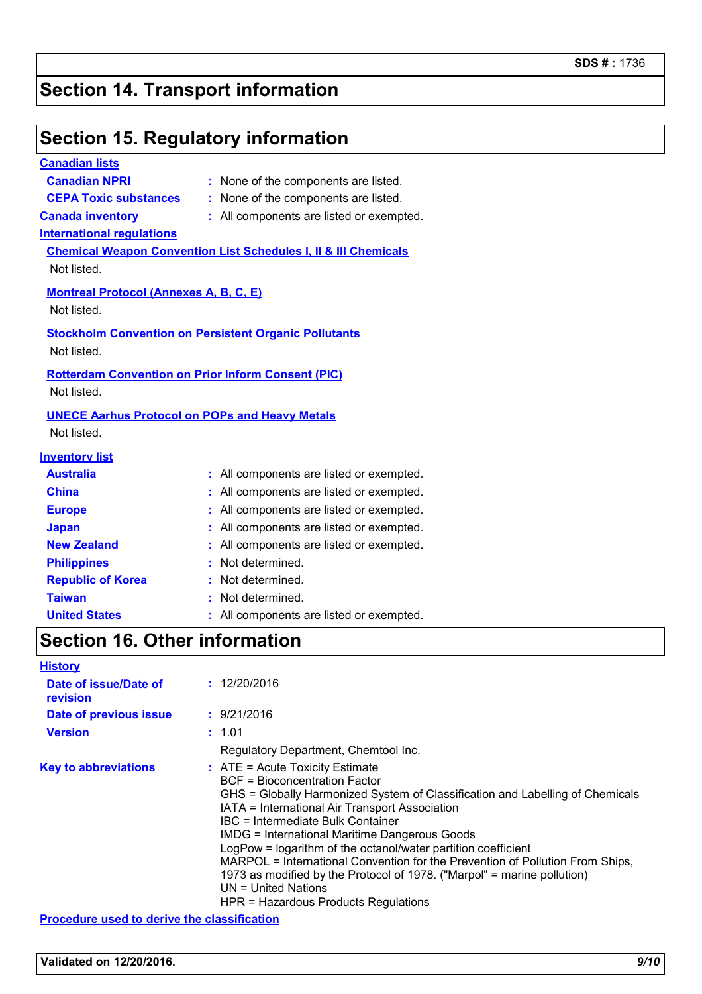# **Section 14. Transport information**

## **Section 15. Regulatory information**

| <b>Canadian lists</b>                         |                                                                            |
|-----------------------------------------------|----------------------------------------------------------------------------|
| <b>Canadian NPRI</b>                          | : None of the components are listed.                                       |
| <b>CEPA Toxic substances</b>                  | : None of the components are listed.                                       |
| <b>Canada inventory</b>                       | : All components are listed or exempted.                                   |
| <b>International regulations</b>              |                                                                            |
|                                               | <b>Chemical Weapon Convention List Schedules I, II &amp; III Chemicals</b> |
| Not listed.                                   |                                                                            |
| <b>Montreal Protocol (Annexes A, B, C, E)</b> |                                                                            |
| Not listed.                                   |                                                                            |
|                                               | <b>Stockholm Convention on Persistent Organic Pollutants</b>               |
| Not listed.                                   |                                                                            |
|                                               |                                                                            |
|                                               | <b>Rotterdam Convention on Prior Inform Consent (PIC)</b>                  |
| Not listed.                                   |                                                                            |
|                                               | <b>UNECE Aarhus Protocol on POPs and Heavy Metals</b>                      |
| Not listed.                                   |                                                                            |
| <b>Inventory list</b>                         |                                                                            |
| <b>Australia</b>                              | : All components are listed or exempted.                                   |
| <b>China</b>                                  | All components are listed or exempted.                                     |
| <b>Europe</b>                                 | All components are listed or exempted.                                     |
| <b>Japan</b>                                  | All components are listed or exempted.                                     |
| <b>New Zealand</b>                            | All components are listed or exempted.<br>t.                               |
| <b>Philippines</b>                            | Not determined.                                                            |
| <b>Republic of Korea</b>                      | Not determined.                                                            |
| <b>Taiwan</b>                                 | Not determined.                                                            |
| <b>United States</b>                          | All components are listed or exempted.                                     |
|                                               |                                                                            |

## **Section 16. Other information**

| <b>History</b>                                     |                                                                                                                                                                                                                                                                                                                                                                                                                                                                                                                                                                                                           |
|----------------------------------------------------|-----------------------------------------------------------------------------------------------------------------------------------------------------------------------------------------------------------------------------------------------------------------------------------------------------------------------------------------------------------------------------------------------------------------------------------------------------------------------------------------------------------------------------------------------------------------------------------------------------------|
| Date of issue/Date of<br>revision                  | : 12/20/2016                                                                                                                                                                                                                                                                                                                                                                                                                                                                                                                                                                                              |
| Date of previous issue                             | : 9/21/2016                                                                                                                                                                                                                                                                                                                                                                                                                                                                                                                                                                                               |
| <b>Version</b>                                     | : 1.01                                                                                                                                                                                                                                                                                                                                                                                                                                                                                                                                                                                                    |
|                                                    | Regulatory Department, Chemtool Inc.                                                                                                                                                                                                                                                                                                                                                                                                                                                                                                                                                                      |
| <b>Key to abbreviations</b>                        | $\therefore$ ATE = Acute Toxicity Estimate<br>BCF = Bioconcentration Factor<br>GHS = Globally Harmonized System of Classification and Labelling of Chemicals<br>IATA = International Air Transport Association<br>IBC = Intermediate Bulk Container<br><b>IMDG = International Maritime Dangerous Goods</b><br>LogPow = logarithm of the octanol/water partition coefficient<br>MARPOL = International Convention for the Prevention of Pollution From Ships,<br>1973 as modified by the Protocol of 1978. ("Marpol" = marine pollution)<br>$UN = United Nations$<br>HPR = Hazardous Products Regulations |
| <b>Procedure used to derive the classification</b> |                                                                                                                                                                                                                                                                                                                                                                                                                                                                                                                                                                                                           |